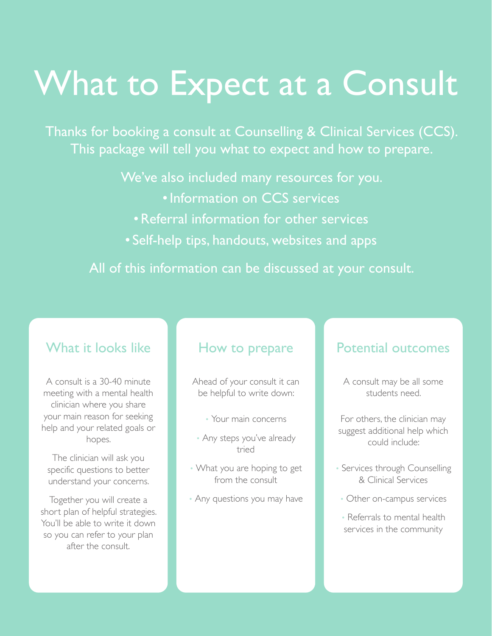## What to Expect at a Consult

Thanks for booking a consult at Counselling & Clinical Services (CCS). This package will tell you what to expect and how to prepare.

We've also included many resources for you.

- •Information on CCS services
- •Referral information for other services
- Self-help tips, handouts, websites and apps

All of this information can be discussed at your consult.

## What it looks like

A consult is a 30-40 minute meeting with a mental health clinician where you share your main reason for seeking help and your related goals or hopes.

The clinician will ask you specific questions to better understand your concerns.

Together you will create a short plan of helpful strategies. You'll be able to write it down so you can refer to your plan after the consult.

## How to prepare

Ahead of your consult it can be helpful to write down:

- Your main concerns
- Any steps you've already tried
- What you are hoping to get from the consult
- Any questions you may have

## Potential outcomes

- A consult may be all some students need.
- For others, the clinician may suggest additional help which could include:
- Services through Counselling & Clinical Services
	- Other on-campus services
	- Referrals to mental health services in the community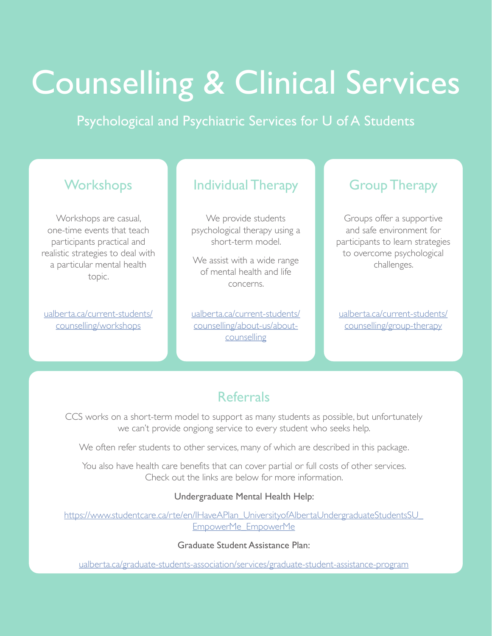## Counselling & Clinical Services

Psychological and Psychiatric Services for U of A Students

## **Workshops**

Workshops are casual, one-time events that teach participants practical and realistic strategies to deal with a particular mental health topic.

[ualberta.ca/current-students/](http://www.ualberta.ca/current-students/counselling/workshops) [counselling/workshops](http://www.ualberta.ca/current-students/counselling/workshops)

## Individual Therapy

We provide students psychological therapy using a short-term model.

We assist with a wide range of mental health and life concerns.

[ualberta.ca/current-students/](http://ualberta.ca/current-students/counselling/about-us/about-counselling) [counselling/about-us/about](http://ualberta.ca/current-students/counselling/about-us/about-counselling)**[counselling](http://ualberta.ca/current-students/counselling/about-us/about-counselling)** 

## Group Therapy

Groups offer a supportive and safe environment for participants to learn strategies to overcome psychological challenges.

[ualberta.ca/current-students/](http://ualberta.ca/current-students/counselling/group-therapy) [counselling/group-therapy](http://ualberta.ca/current-students/counselling/group-therapy)

## Referrals

CCS works on a short-term model to support as many students as possible, but unfortunately we can't provide ongiong service to every student who seeks help.

We often refer students to other services, many of which are described in this package.

You also have health care benefits that can cover partial or full costs of other services. Check out the links are below for more information.

#### Undergraduate Mental Health Help:

https://www.studentcare.ca/rte/en/IHaveAPlan\_UniversityofAlbertaUndergraduateStudentsSU [EmpowerMe\\_EmpowerMe](https://www.studentcare.ca/rte/en/IHaveAPlan_UniversityofAlbertaUndergraduateStudentsSU_EmpowerMe_EmpowerMe)

Graduate Student Assistance Plan:

[ualberta.ca/graduate-students-association/services/graduate-student-assistance-program](http://ualberta.ca/graduate-students-association/services/graduate-student-assistance-program)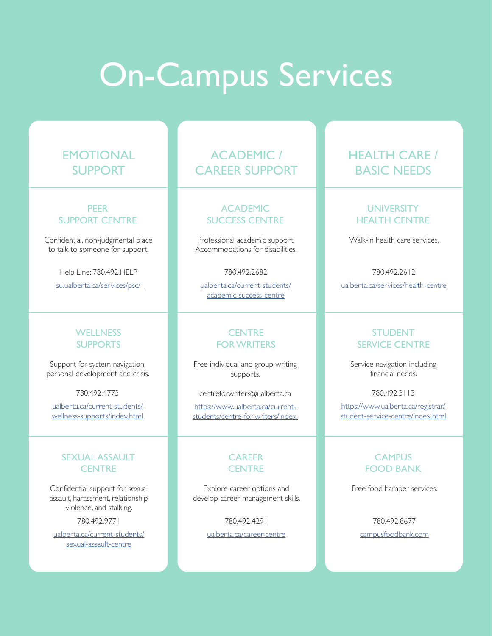## On-Campus Services

## **EMOTIONAL** SUPPORT

#### PEER SUPPORT CENTRE

Confidential, non-judgmental place to talk to someone for support.

> Help Line: 780.492.HELP [su.ualberta.ca/services/psc/](https://www.su.ualberta.ca/services/psc/)

#### WELL NESS **SUPPORTS**

Support for system navigation, personal development and crisis.

780.492.4773

[ualberta.ca/current-students/](http://ualberta.ca/current-students/wellness-supports/index.html) [wellness-supports/index.html](http://ualberta.ca/current-students/wellness-supports/index.html)

#### SEXUAL ASSAULT **CENTRE**

Confidential support for sexual assault, harassment, relationship violence, and stalking.

780.492.9771

[ualberta.ca/current-students/](http://ualberta.ca/current-students/sexual-assault-centre) [sexual-assault-centre](http://ualberta.ca/current-students/sexual-assault-centre)

## ACADEMIC / CAREER SUPPORT

#### ACADEMIC SUCCESS CENTRE

Professional academic support. Accommodations for disabilities.

780.492.2682

[ualberta.ca/current-students/](http://ualberta.ca/current-students/academic-success-centre) [academic-success-centre](http://ualberta.ca/current-students/academic-success-centre)

#### **CENTRE** FOR WRITERS

Free individual and group writing supports.

centreforwriters@ualberta.ca

https://www.ualberta.ca/currentstudents/centre-for-writers/index.

#### **CAREER CENTRE**

Explore career options and develop career management skills.

780.492.4291

[ualberta.ca/career-centre](http://ualberta.ca/career-centre)

## HEALTH CARE / BASIC NEEDS

#### **UNIVERSITY** HEALTH CENTRE

Walk-in health care services.

780.492.2612 [ualberta.ca/services/health-centre](http://ualberta.ca/services/health-centre)

#### STUDENT SERVICE CENTRE

Service navigation including financial needs.

780.492.3113

https://www.ualberta.ca/registrar/ student-service-centre/index.html

#### **CAMPUS** FOOD BANK

Free food hamper services.

780.492.8677 [campusfoodbank.com](http://campusfoodbank.com)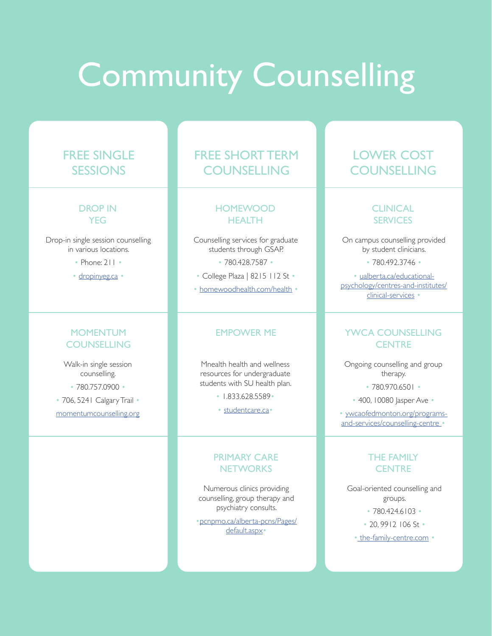## **Community Counselling**

## FREE SINGLE SESSIONS

#### DROP IN **YEG**

Drop-in single session counselling in various locations.

- Phone: 211 •
- [dropinyeg.ca](http://dropinyeg.ca) •

#### **MOMENTUM COUNSELLING**

Walk-in single session counselling. • 780.757.0900 •

• 706, 5241 Calgary Trail • [momentumcounselling.org](http://momentumcounselling.org)

## FREE SHORT TERM **COUNSELLING**

#### **HOMEWOOD HEALTH**

Counselling services for graduate students through GSAP.

• 780.428.7587 •

• College Plaza | 8215 112 St •

• [homewoodhealth.com/health](https://www.ualberta.ca/human-resource-services/media-library/health-and-wellbeing/efap/gsap-brochure.pdf) •

#### EMPOWER ME

Mnealth health and wellness resources for undergraduate students with SU health plan.

• 1.833.628.5589•

• [studentcare.ca•](https://www.studentcare.ca/rte/en/IHaveAPlan_UniversityofAlbertaUndergraduateStudentsSU_EmpowerMe_EmpowerMe)

#### PRIMARY CARE **NETWORKS**

Numerous clinics providing counselling, group therapy and psychiatry consults.

•[pcnpmo.ca/alberta-pcns/Pages/](https://pcnpmo.ca/alberta-pcns/Pages/default.aspx) [default.aspx](https://pcnpmo.ca/alberta-pcns/Pages/default.aspx)•

## LOWER COST **COUNSELLING**

#### **CLINICAL SERVICES**

On campus counselling provided by student clinicians.

• 780.492.3746 •

• [ualberta.ca/educational](http://ualberta.ca/educational-psychology/centres-and-institutes/clinical-services)[psychology/centres-and-institutes/](http://ualberta.ca/educational-psychology/centres-and-institutes/clinical-services) [clinical-services](http://ualberta.ca/educational-psychology/centres-and-institutes/clinical-services) •

#### YWCA COUNSELLING **CENTRE**

Ongoing counselling and group therapy.

• 780.970.6501 •

• 400, 10080 Jasper Ave •

• [ywcaofedmonton.org/programs](http://www.ywcaofedmonton.org/programs-and-services/counselling-centre)[and-services/counselling-centre](http://www.ywcaofedmonton.org/programs-and-services/counselling-centre) •

#### THE FAMILY **CENTRE**

Goal-oriented counselling and groups. • 780.424.6103 •

• 20, 9912 106 St •

[• the-family-centre.com](http://the-family-centre.com) •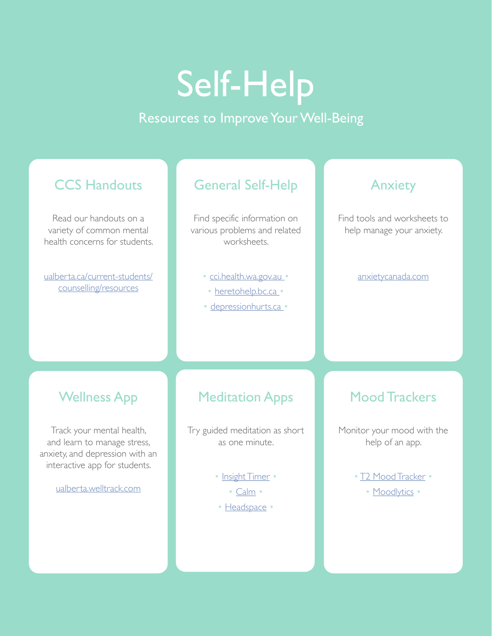# Self-Help

## Resources to Improve Your Well-Being

## **CCS Handouts**

Read our handouts on a variety of common mental health concerns for students.

[ualberta.ca/current-students/](http://ualberta.ca/current-students/counselling/resources) [counselling/resources](http://ualberta.ca/current-students/counselling/resources)

## General Self-Help

Find specific information on various problems and related worksheets.

- • [cci.health.wa.gov.au](http://cci.health.wa.gov.au/Resources/Looking-After-Yourself) •
- • [heretohelp.bc.ca](http://heretohelp.bc.ca) •
- • [depressionhurts.ca](https://depressionhurts.ca/en/default.aspx) •

### Anxiety

Find tools and worksheets to help manage your anxiety.

#### [anxietycanada.com](http://anxietycanada.com)

## Wellness App

Track your mental health, and learn to manage stress, anxiety, and depression with an interactive app for students.

[ualberta.welltrack.com](http://ualberta.welltrack.com)

## Meditation Apps

Try guided meditation as short as one minute.

- • [Insight Timer](https://insighttimer.com/) 
	- [Calm](https://www.calm.com/) •
- • [Headspace](https://www.headspace.com/) •

## Mood Trackers

Monitor your mood with the help of an app.

- • [T2 Mood Tracker](https://psyberguide.org/apps/t2-mood-tracker/)
	- • [Moodlytics](http://www.moodlytics.com/) •